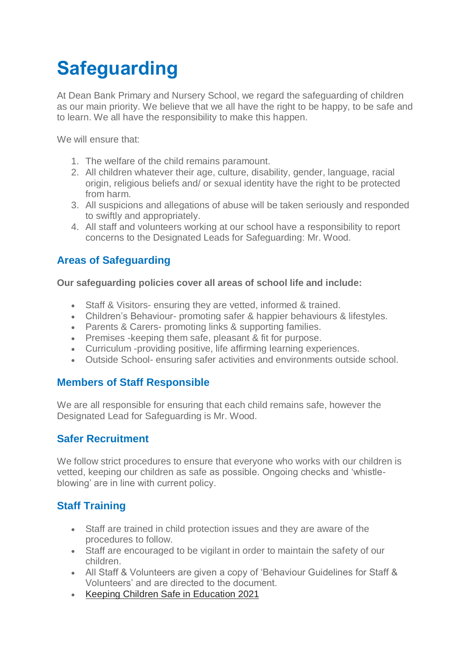# **Safeguarding**

At Dean Bank Primary and Nursery School, we regard the safeguarding of children as our main priority. We believe that we all have the right to be happy, to be safe and to learn. We all have the responsibility to make this happen.

We will ensure that:

- 1. The welfare of the child remains paramount.
- 2. All children whatever their age, culture, disability, gender, language, racial origin, religious beliefs and/ or sexual identity have the right to be protected from harm.
- 3. All suspicions and allegations of abuse will be taken seriously and responded to swiftly and appropriately.
- 4. All staff and volunteers working at our school have a responsibility to report concerns to the Designated Leads for Safeguarding: Mr. Wood.

## **Areas of Safeguarding**

**Our safeguarding policies cover all areas of school life and include:**

- Staff & Visitors- ensuring they are vetted, informed & trained.
- Children's Behaviour- promoting safer & happier behaviours & lifestyles.
- Parents & Carers- promoting links & supporting families.
- Premises -keeping them safe, pleasant & fit for purpose.
- Curriculum -providing positive, life affirming learning experiences.
- Outside School- ensuring safer activities and environments outside school.

## **Members of Staff Responsible**

We are all responsible for ensuring that each child remains safe, however the Designated Lead for Safeguarding is Mr. Wood.

## **Safer Recruitment**

We follow strict procedures to ensure that everyone who works with our children is vetted, keeping our children as safe as possible. Ongoing checks and 'whistleblowing' are in line with current policy.

## **Staff Training**

- Staff are trained in child protection issues and they are aware of the procedures to follow.
- Staff are encouraged to be vigilant in order to maintain the safety of our children.
- All Staff & Volunteers are given a copy of 'Behaviour Guidelines for Staff & Volunteers' and are directed to the document.
- [Keeping Children Safe in Education 2021](https://www.deanbank.durham.sch.uk/key-information/school-policies/)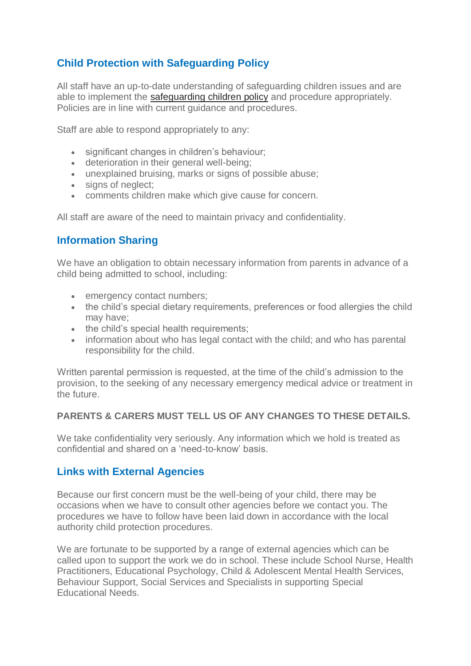## **Child Protection with Safeguarding Policy**

All staff have an up-to-date understanding of safeguarding children issues and are able to implement the [safeguarding children policy](https://www.deanbank.durham.sch.uk/about-us/school-policies/) and procedure appropriately. Policies are in line with current guidance and procedures.

Staff are able to respond appropriately to any:

- significant changes in children's behaviour;
- deterioration in their general well-being;
- unexplained bruising, marks or signs of possible abuse;
- signs of neglect;
- comments children make which give cause for concern.

All staff are aware of the need to maintain privacy and confidentiality.

### **Information Sharing**

We have an obligation to obtain necessary information from parents in advance of a child being admitted to school, including:

- emergency contact numbers;
- the child's special dietary requirements, preferences or food allergies the child may have;
- the child's special health requirements:
- information about who has legal contact with the child; and who has parental responsibility for the child.

Written parental permission is requested, at the time of the child's admission to the provision, to the seeking of any necessary emergency medical advice or treatment in the future.

#### **PARENTS & CARERS MUST TELL US OF ANY CHANGES TO THESE DETAILS.**

We take confidentiality very seriously. Any information which we hold is treated as confidential and shared on a 'need-to-know' basis.

#### **Links with External Agencies**

Because our first concern must be the well-being of your child, there may be occasions when we have to consult other agencies before we contact you. The procedures we have to follow have been laid down in accordance with the local authority child protection procedures.

We are fortunate to be supported by a range of external agencies which can be called upon to support the work we do in school. These include School Nurse, Health Practitioners, Educational Psychology, Child & Adolescent Mental Health Services, Behaviour Support, Social Services and Specialists in supporting Special Educational Needs.